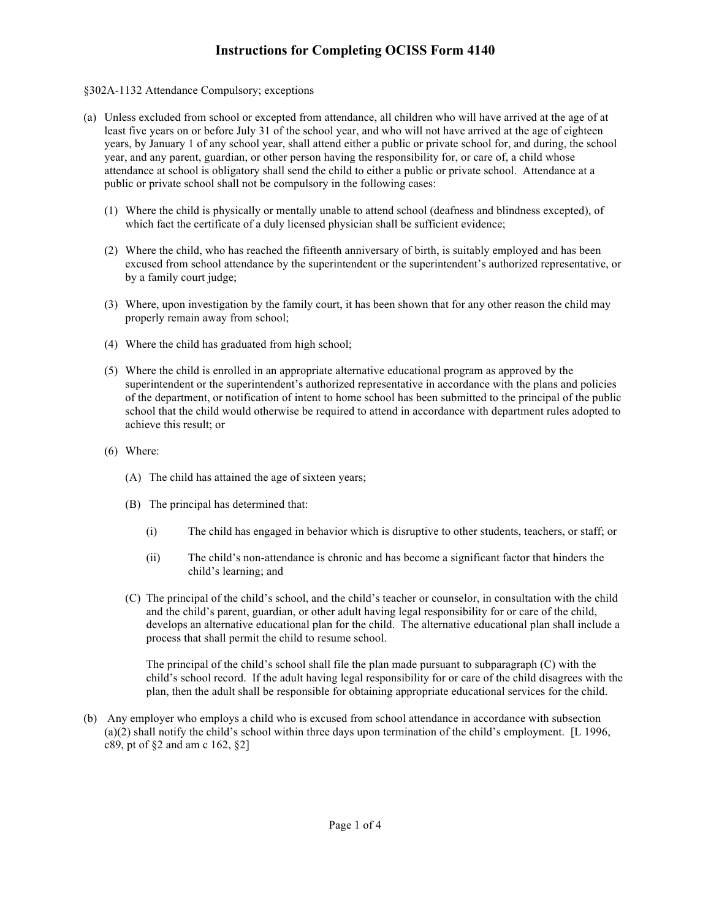#### §302A-1132 Attendance Compulsory; exceptions

- (a) Unless excluded from school or excepted from attendance, all children who will have arrived at the age of at least five years on or before July 31 of the school year, and who will not have arrived at the age of eighteen years, by January 1 of any school year, shall attend either a public or private school for, and during, the school year, and any parent, guardian, or other person having the responsibility for, or care of, a child whose attendance at school is obligatory shall send the child to either a public or private school. Attendance at a public or private school shall not be compulsory in the following cases:
	- (1) Where the child is physically or mentally unable to attend school (deafness and blindness excepted), of which fact the certificate of a duly licensed physician shall be sufficient evidence;
	- (2) Where the child, who has reached the fifteenth anniversary of birth, is suitably employed and has been excused from school attendance by the superintendent or the superintendent's authorized representative, or by a family court judge;
	- (3) Where, upon investigation by the family court, it has been shown that for any other reason the child may properly remain away from school;
	- (4) Where the child has graduated from high school;
	- (5) Where the child is enrolled in an appropriate alternative educational program as approved by the superintendent or the superintendent's authorized representative in accordance with the plans and policies of the department, or notification of intent to home school has been submitted to the principal of the public school that the child would otherwise be required to attend in accordance with department rules adopted to achieve this result; or
	- (6) Where:
		- (A) The child has attained the age of sixteen years;
		- (B) The principal has determined that:
			- (i) The child has engaged in behavior which is disruptive to other students, teachers, or staff; or
			- (ii) The child's non-attendance is chronic and has become a significant factor that hinders the child's learning; and
		- (C) The principal of the child's school, and the child's teacher or counselor, in consultation with the child and the child's parent, guardian, or other adult having legal responsibility for or care of the child, develops an alternative educational plan for the child. The alternative educational plan shall include a process that shall permit the child to resume school.

The principal of the child's school shall file the plan made pursuant to subparagraph (C) with the child's school record. If the adult having legal responsibility for or care of the child disagrees with the plan, then the adult shall be responsible for obtaining appropriate educational services for the child.

(b) Any employer who employs a child who is excused from school attendance in accordance with subsection (a)(2) shall notify the child's school within three days upon termination of the child's employment. [L 1996, c89, pt of §2 and am c 162, §2]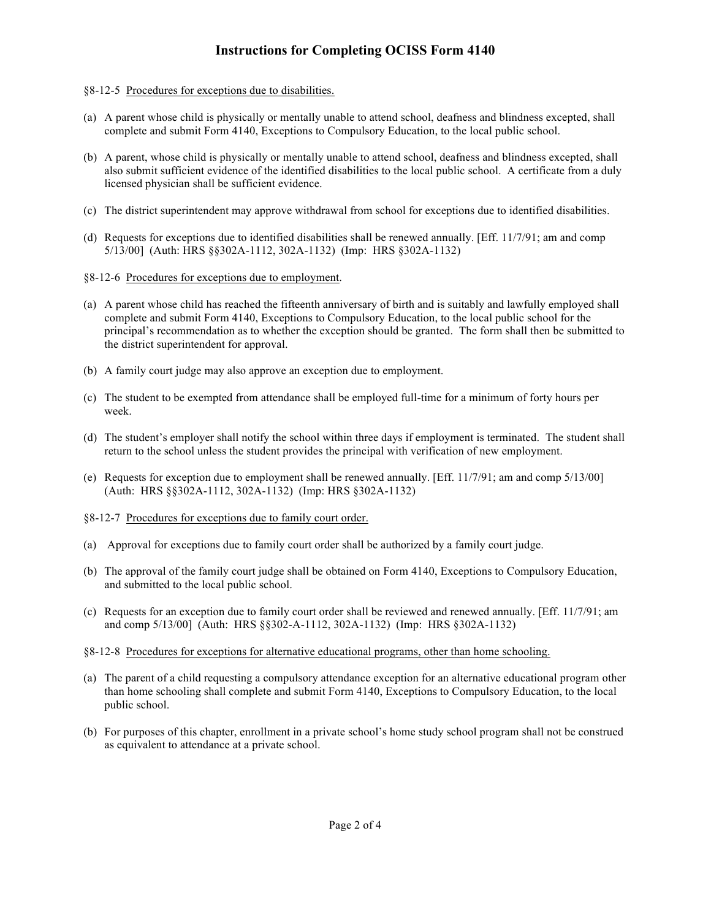- §8-12-5 Procedures for exceptions due to disabilities.
- (a) A parent whose child is physically or mentally unable to attend school, deafness and blindness excepted, shall complete and submit Form 4140, Exceptions to Compulsory Education, to the local public school.
- (b) A parent, whose child is physically or mentally unable to attend school, deafness and blindness excepted, shall also submit sufficient evidence of the identified disabilities to the local public school. A certificate from a duly licensed physician shall be sufficient evidence.
- (c) The district superintendent may approve withdrawal from school for exceptions due to identified disabilities.
- (d) Requests for exceptions due to identified disabilities shall be renewed annually. [Eff. 11/7/91; am and comp 5/13/00] (Auth: HRS §§302A-1112, 302A-1132) (Imp: HRS §302A-1132)
- §8-12-6 Procedures for exceptions due to employment.
- (a) A parent whose child has reached the fifteenth anniversary of birth and is suitably and lawfully employed shall complete and submit Form 4140, Exceptions to Compulsory Education, to the local public school for the principal's recommendation as to whether the exception should be granted. The form shall then be submitted to the district superintendent for approval.
- (b) A family court judge may also approve an exception due to employment.
- (c) The student to be exempted from attendance shall be employed full-time for a minimum of forty hours per week.
- (d) The student's employer shall notify the school within three days if employment is terminated. The student shall return to the school unless the student provides the principal with verification of new employment.
- (e) Requests for exception due to employment shall be renewed annually. [Eff. 11/7/91; am and comp 5/13/00] (Auth: HRS §§302A-1112, 302A-1132) (Imp: HRS §302A-1132)
- §8-12-7 Procedures for exceptions due to family court order.
- (a) Approval for exceptions due to family court order shall be authorized by a family court judge.
- (b) The approval of the family court judge shall be obtained on Form 4140, Exceptions to Compulsory Education, and submitted to the local public school.
- (c) Requests for an exception due to family court order shall be reviewed and renewed annually. [Eff. 11/7/91; am and comp 5/13/00] (Auth: HRS §§302-A-1112, 302A-1132) (Imp: HRS §302A-1132)
- §8-12-8 Procedures for exceptions for alternative educational programs, other than home schooling.
- (a) The parent of a child requesting a compulsory attendance exception for an alternative educational program other than home schooling shall complete and submit Form 4140, Exceptions to Compulsory Education, to the local public school.
- (b) For purposes of this chapter, enrollment in a private school's home study school program shall not be construed as equivalent to attendance at a private school.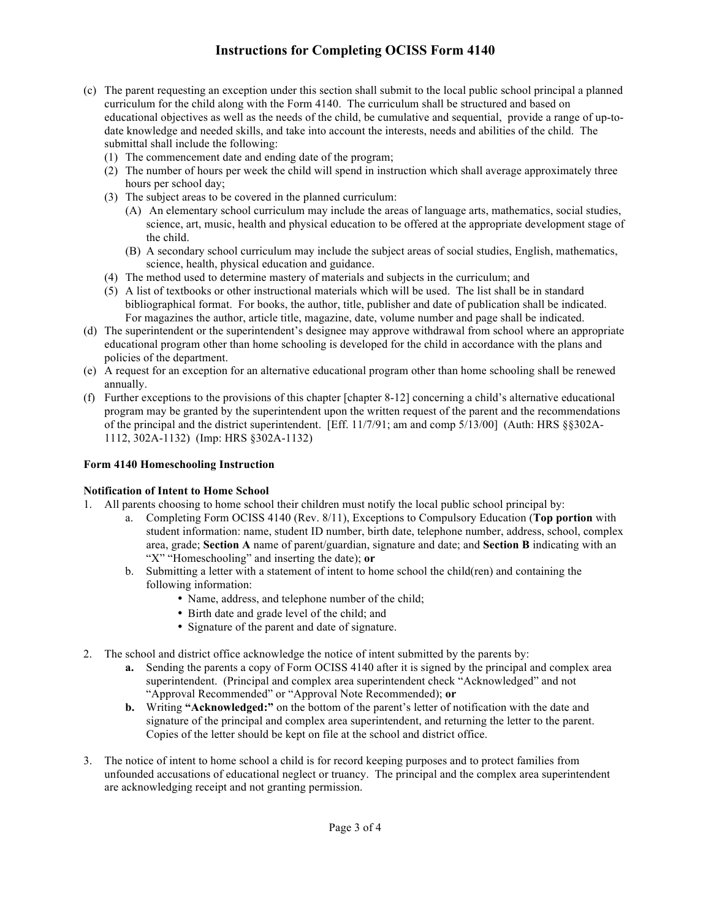- (c) The parent requesting an exception under this section shall submit to the local public school principal a planned curriculum for the child along with the Form 4140. The curriculum shall be structured and based on educational objectives as well as the needs of the child, be cumulative and sequential, provide a range of up-todate knowledge and needed skills, and take into account the interests, needs and abilities of the child. The submittal shall include the following:
	- (1) The commencement date and ending date of the program;
	- (2) The number of hours per week the child will spend in instruction which shall average approximately three hours per school day;
	- (3) The subject areas to be covered in the planned curriculum:
		- (A) An elementary school curriculum may include the areas of language arts, mathematics, social studies, science, art, music, health and physical education to be offered at the appropriate development stage of the child.
		- (B) A secondary school curriculum may include the subject areas of social studies, English, mathematics, science, health, physical education and guidance.
	- (4) The method used to determine mastery of materials and subjects in the curriculum; and
	- (5) A list of textbooks or other instructional materials which will be used. The list shall be in standard bibliographical format. For books, the author, title, publisher and date of publication shall be indicated. For magazines the author, article title, magazine, date, volume number and page shall be indicated.
- (d) The superintendent or the superintendent's designee may approve withdrawal from school where an appropriate educational program other than home schooling is developed for the child in accordance with the plans and policies of the department.
- (e) A request for an exception for an alternative educational program other than home schooling shall be renewed annually.
- (f) Further exceptions to the provisions of this chapter [chapter 8-12] concerning a child's alternative educational program may be granted by the superintendent upon the written request of the parent and the recommendations of the principal and the district superintendent. [Eff. 11/7/91; am and comp 5/13/00] (Auth: HRS §§302A-1112, 302A-1132) (Imp: HRS §302A-1132)

#### **Form 4140 Homeschooling Instruction**

#### **Notification of Intent to Home School**

- 1. All parents choosing to home school their children must notify the local public school principal by:
	- a. Completing Form OCISS 4140 (Rev. 8/11), Exceptions to Compulsory Education (**Top portion** with student information: name, student ID number, birth date, telephone number, address, school, complex area, grade; **Section A** name of parent/guardian, signature and date; and **Section B** indicating with an "X" "Homeschooling" and inserting the date); **or**
	- b. Submitting a letter with a statement of intent to home school the child(ren) and containing the following information:
		- Name, address, and telephone number of the child;
		- Birth date and grade level of the child; and
		- Signature of the parent and date of signature.
- 2. The school and district office acknowledge the notice of intent submitted by the parents by:
	- **a.** Sending the parents a copy of Form OCISS 4140 after it is signed by the principal and complex area superintendent. (Principal and complex area superintendent check "Acknowledged" and not "Approval Recommended" or "Approval Note Recommended); **or**
	- **b.** Writing "Acknowledged:" on the bottom of the parent's letter of notification with the date and signature of the principal and complex area superintendent, and returning the letter to the parent. Copies of the letter should be kept on file at the school and district office.
- 3. The notice of intent to home school a child is for record keeping purposes and to protect families from unfounded accusations of educational neglect or truancy. The principal and the complex area superintendent are acknowledging receipt and not granting permission.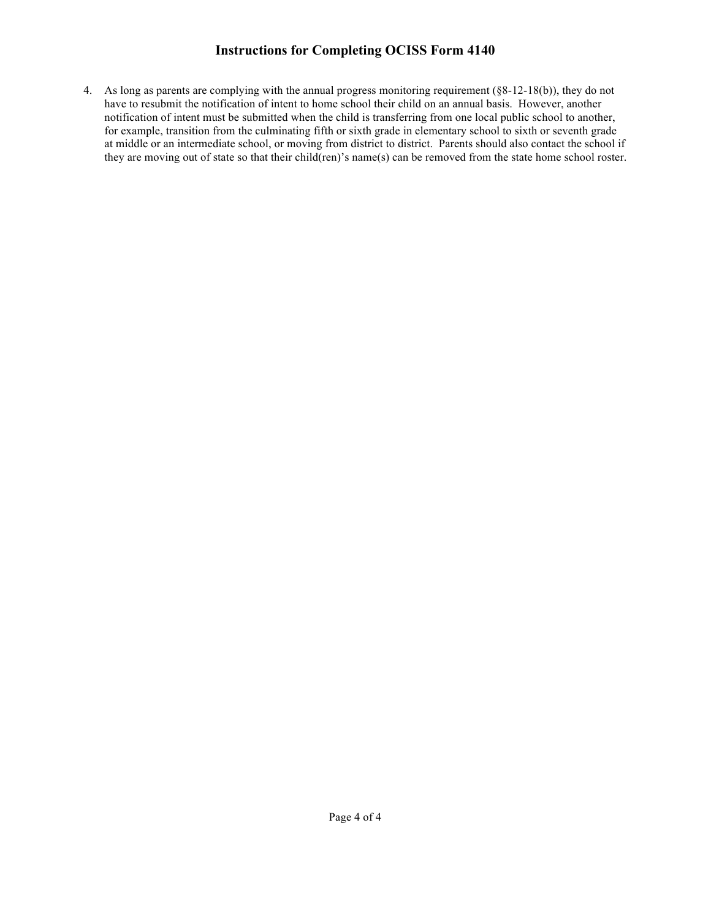4. As long as parents are complying with the annual progress monitoring requirement (§8-12-18(b)), they do not have to resubmit the notification of intent to home school their child on an annual basis. However, another notification of intent must be submitted when the child is transferring from one local public school to another, for example, transition from the culminating fifth or sixth grade in elementary school to sixth or seventh grade at middle or an intermediate school, or moving from district to district. Parents should also contact the school if they are moving out of state so that their child(ren)'s name(s) can be removed from the state home school roster.